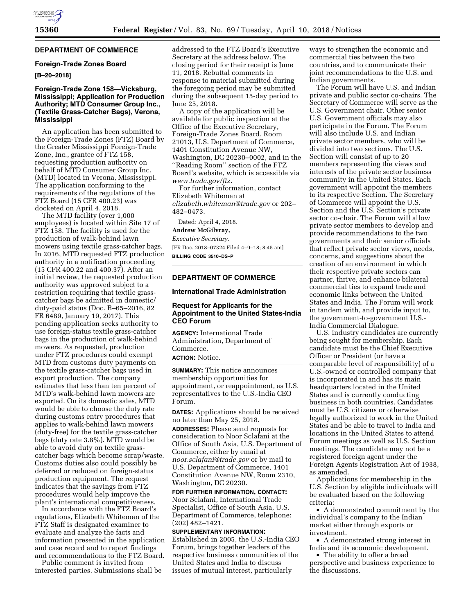# **DEPARTMENT OF COMMERCE**

## **Foreign-Trade Zones Board**

## **[B–20–2018]**

## **Foreign-Trade Zone 158—Vicksburg, Mississippi; Application for Production Authority; MTD Consumer Group Inc., (Textile Grass-Catcher Bags), Verona, Mississippi**

An application has been submitted to the Foreign-Trade Zones (FTZ) Board by the Greater Mississippi Foreign-Trade Zone, Inc., grantee of FTZ 158, requesting production authority on behalf of MTD Consumer Group Inc. (MTD) located in Verona, Mississippi. The application conforming to the requirements of the regulations of the FTZ Board (15 CFR 400.23) was docketed on April 4, 2018.

The MTD facility (over 1,000 employees) is located within Site 17 of FTZ 158. The facility is used for the production of walk-behind lawn mowers using textile grass-catcher bags. In 2016, MTD requested FTZ production authority in a notification proceeding (15 CFR 400.22 and 400.37). After an initial review, the requested production authority was approved subject to a restriction requiring that textile grasscatcher bags be admitted in domestic/ duty-paid status (Doc. B–65–2016, 82 FR 6489, January 19, 2017). This pending application seeks authority to use foreign-status textile grass-catcher bags in the production of walk-behind mowers. As requested, production under FTZ procedures could exempt MTD from customs duty payments on the textile grass-catcher bags used in export production. The company estimates that less than ten percent of MTD's walk-behind lawn mowers are exported. On its domestic sales, MTD would be able to choose the duty rate during customs entry procedures that applies to walk-behind lawn mowers (duty-free) for the textile grass-catcher bags (duty rate 3.8%). MTD would be able to avoid duty on textile grasscatcher bags which become scrap/waste. Customs duties also could possibly be deferred or reduced on foreign-status production equipment. The request indicates that the savings from FTZ procedures would help improve the plant's international competitiveness.

In accordance with the FTZ Board's regulations, Elizabeth Whiteman of the FTZ Staff is designated examiner to evaluate and analyze the facts and information presented in the application and case record and to report findings and recommendations to the FTZ Board.

Public comment is invited from interested parties. Submissions shall be

addressed to the FTZ Board's Executive Secretary at the address below. The closing period for their receipt is June 11, 2018. Rebuttal comments in response to material submitted during the foregoing period may be submitted during the subsequent 15-day period to June 25, 2018.

A copy of the application will be available for public inspection at the Office of the Executive Secretary, Foreign-Trade Zones Board, Room 21013, U.S. Department of Commerce, 1401 Constitution Avenue NW, Washington, DC 20230–0002, and in the ''Reading Room'' section of the FTZ Board's website, which is accessible via *[www.trade.gov/ftz.](http://www.trade.gov/ftz)* 

For further information, contact Elizabeth Whiteman at *[elizabeth.whiteman@trade.gov](mailto:elizabeth.whiteman@trade.gov)* or 202– 482–0473.

Dated: April 4, 2018.

#### **Andrew McGilvray,**

*Executive Secretary.* 

[FR Doc. 2018–07324 Filed 4–9–18; 8:45 am] **BILLING CODE 3510–DS–P** 

## **DEPARTMENT OF COMMERCE**

#### **International Trade Administration**

## **Request for Applicants for the Appointment to the United States-India CEO Forum**

**AGENCY:** International Trade Administration, Department of Commerce. **ACTION:** Notice.

**SUMMARY:** This notice announces membership opportunities for appointment, or reappointment, as U.S. representatives to the U.S.-India CEO Forum.

**DATES:** Applications should be received no later than May 25, 2018.

**ADDRESSES:** Please send requests for consideration to Noor Sclafani at the Office of South Asia, U.S. Department of Commerce, either by email at *[noor.sclafani@trade.gov](mailto:noor.sclafani@trade.gov)* or by mail to U.S. Department of Commerce, 1401 Constitution Avenue NW, Room 2310, Washington, DC 20230.

**FOR FURTHER INFORMATION, CONTACT:**  Noor Sclafani, International Trade Specialist, Office of South Asia, U.S. Department of Commerce, telephone: (202) 482–1421.

## **SUPPLEMENTARY INFORMATION:**

Established in 2005, the U.S.-India CEO Forum, brings together leaders of the respective business communities of the United States and India to discuss issues of mutual interest, particularly

ways to strengthen the economic and commercial ties between the two countries, and to communicate their joint recommendations to the U.S. and Indian governments.

The Forum will have U.S. and Indian private and public sector co-chairs. The Secretary of Commerce will serve as the U.S. Government chair. Other senior U.S. Government officials may also participate in the Forum. The Forum will also include U.S. and Indian private sector members, who will be divided into two sections. The U.S. Section will consist of up to 20 members representing the views and interests of the private sector business community in the United States. Each government will appoint the members to its respective Section. The Secretary of Commerce will appoint the U.S. Section and the U.S. Section's private sector co-chair. The Forum will allow private sector members to develop and provide recommendations to the two governments and their senior officials that reflect private sector views, needs, concerns, and suggestions about the creation of an environment in which their respective private sectors can partner, thrive, and enhance bilateral commercial ties to expand trade and economic links between the United States and India. The Forum will work in tandem with, and provide input to, the government-to-government U.S.- India Commercial Dialogue.

U.S. industry candidates are currently being sought for membership. Each candidate must be the Chief Executive Officer or President (or have a comparable level of responsibility) of a U.S.-owned or controlled company that is incorporated in and has its main headquarters located in the United States and is currently conducting business in both countries. Candidates must be U.S. citizens or otherwise legally authorized to work in the United States and be able to travel to India and locations in the United States to attend Forum meetings as well as U.S. Section meetings. The candidate may not be a registered foreign agent under the Foreign Agents Registration Act of 1938, as amended.

Applications for membership in the U.S. Section by eligible individuals will be evaluated based on the following criteria:

• A demonstrated commitment by the individual's company to the Indian market either through exports or investment.

• A demonstrated strong interest in India and its economic development.

• The ability to offer a broad perspective and business experience to the discussions.